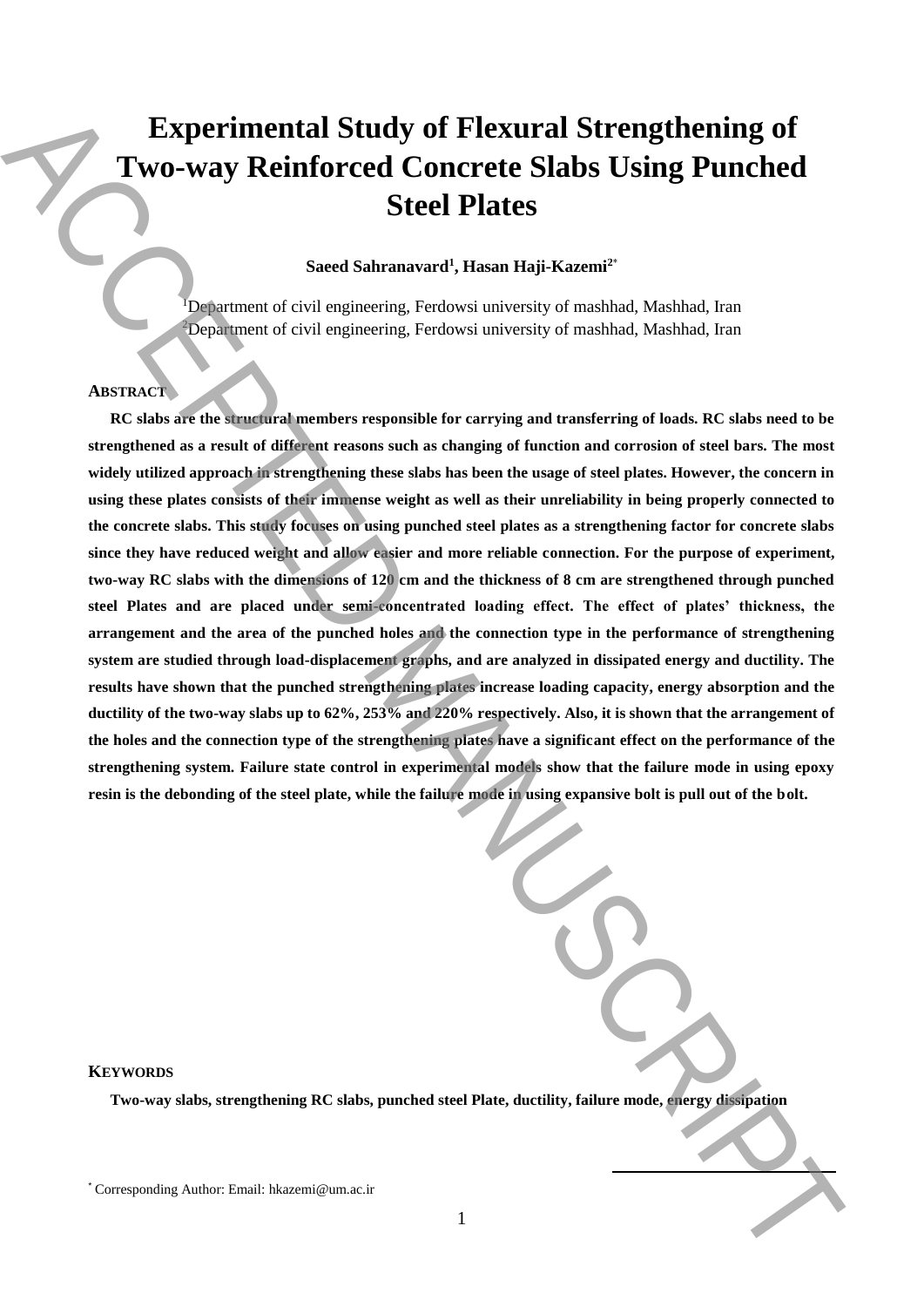# **Experimental Study of Flexural Strengthening of Two-way Reinforced Concrete Slabs Using Punched Steel Plates**

# **Saeed Sahranavard<sup>1</sup> , Hasan Haji-Kazemi<sup>2</sup>**\*

<sup>1</sup>Department of civil engineering, Ferdowsi university of mashhad, Mashhad, Iran <sup>2</sup>Department of civil engineering, Ferdowsi university of mashhad, Mashhad, Iran

## **ABSTRACT**

**RC slabs are the structural members responsible for carrying and transferring of loads. RC slabs need to be strengthened as a result of different reasons such as changing of function and corrosion of steel bars. The most widely utilized approach in strengthening these slabs has been the usage of steel plates. However, the concern in using these plates consists of their immense weight as well as their unreliability in being properly connected to the concrete slabs. This study focuses on using punched steel plates as a strengthening factor for concrete slabs since they have reduced weight and allow easier and more reliable connection. For the purpose of experiment, two-way RC slabs with the dimensions of 120 cm and the thickness of 8 cm are strengthened through punched steel Plates and are placed under semi-concentrated loading effect. The effect of plates' thickness, the arrangement and the area of the punched holes and the connection type in the performance of strengthening system are studied through load-displacement graphs, and are analyzed in dissipated energy and ductility. The results have shown that the punched strengthening plates increase loading capacity, energy absorption and the ductility of the two-way slabs up to 62%, 253% and 220% respectively. Also, it is shown that the arrangement of the holes and the connection type of the strengthening plates have a significant effect on the performance of the strengthening system. Failure state control in experimental models show that the failure mode in using epoxy resin is the debonding of the steel plate, while the failure mode in using expansive bolt is pull out of the bolt.** Experimental Study of Flexural Strengthening of<br>
Two-way Reinforced Concrete Slabs Using Punched<br>
Sseed Sinnaward, Haam Huji-Kazemi<sup>e</sup><br>
Sseed Sinnaward, Haam Huji-Kazemi<sup>e</sup><br>
Sseed Sinnaward, Haam Huji-Kazemi<sup>e</sup><br>
An Hui-Hu

**KEYWORDS**

**Two-way slabs, strengthening RC slabs, punched steel Plate, ductility, failure mode, energy dissipation**

**.**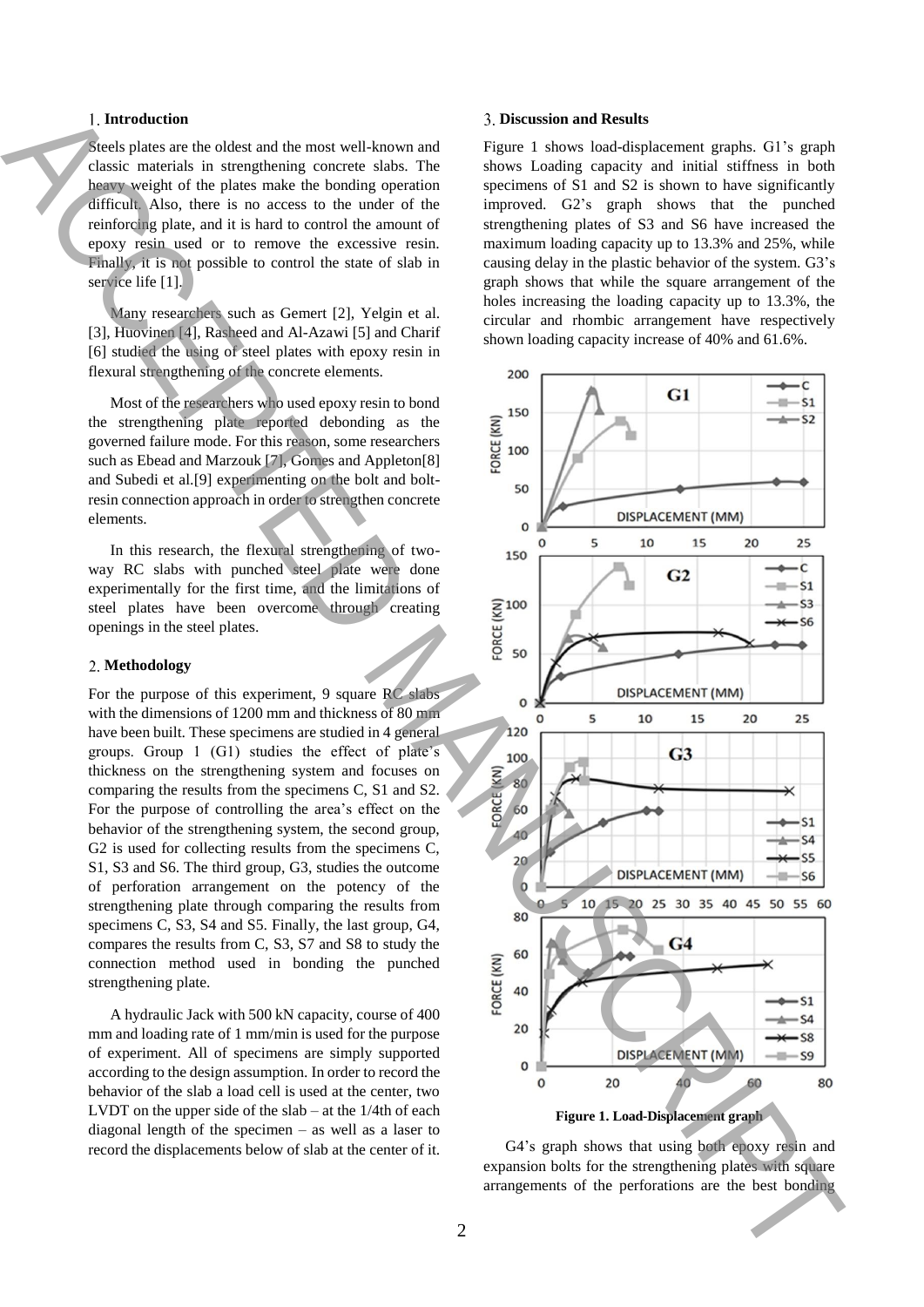### **Introduction**

Steels plates are the oldest and the most well-known and classic materials in strengthening concrete slabs. The heavy weight of the plates make the bonding operation difficult. Also, there is no access to the under of the reinforcing plate, and it is hard to control the amount of epoxy resin used or to remove the excessive resin. Finally, it is not possible to control the state of slab in service life [1].

Many researchers such as Gemert [2], Yelgin et al. [3], Huovinen [4], Rasheed and Al-Azawi [5] and Charif [6] studied the using of steel plates with epoxy resin in flexural strengthening of the concrete elements.

Most of the researchers who used epoxy resin to bond the strengthening plate reported debonding as the governed failure mode. For this reason, some researchers such as Ebead and Marzouk [7], Gomes and Appleton[8] and Subedi et al.[9] experimenting on the bolt and boltresin connection approach in order to strengthen concrete elements.

In this research, the flexural strengthening of twoway RC slabs with punched steel plate were done experimentally for the first time, and the limitations of steel plates have been overcome through creating openings in the steel plates.

#### **Methodology**

For the purpose of this experiment, 9 square RC slabs with the dimensions of 1200 mm and thickness of 80 mm have been built. These specimens are studied in 4 general groups. Group 1 (G1) studies the effect of plate's thickness on the strengthening system and focuses on comparing the results from the specimens C, S1 and S2. For the purpose of controlling the area's effect on the behavior of the strengthening system, the second group, G2 is used for collecting results from the specimens C, S1, S3 and S6. The third group, G3, studies the outcome of perforation arrangement on the potency of the strengthening plate through comparing the results from specimens C, S3, S4 and S5. Finally, the last group, G4, compares the results from C, S3, S7 and S8 to study the connection method used in bonding the punched strengthening plate.

A hydraulic Jack with 500 kN capacity, course of 400 mm and loading rate of 1 mm/min is used for the purpose of experiment. All of specimens are simply supported according to the design assumption. In order to record the behavior of the slab a load cell is used at the center, two LVDT on the upper side of the slab – at the 1/4th of each diagonal length of the specimen – as well as a laser to record the displacements below of slab at the center of it.

#### **Discussion and Results**

Figure 1 shows load-displacement graphs. G1's graph shows Loading capacity and initial stiffness in both specimens of S1 and S2 is shown to have significantly improved. G2's graph shows that the punched strengthening plates of S3 and S6 have increased the maximum loading capacity up to 13.3% and 25%, while causing delay in the plastic behavior of the system. G3's graph shows that while the square arrangement of the holes increasing the loading capacity up to 13.3%, the circular and rhombic arrangement have respectively shown loading capacity increase of 40% and 61.6%.



G4's graph shows that using both epoxy resin and expansion bolts for the strengthening plates with square